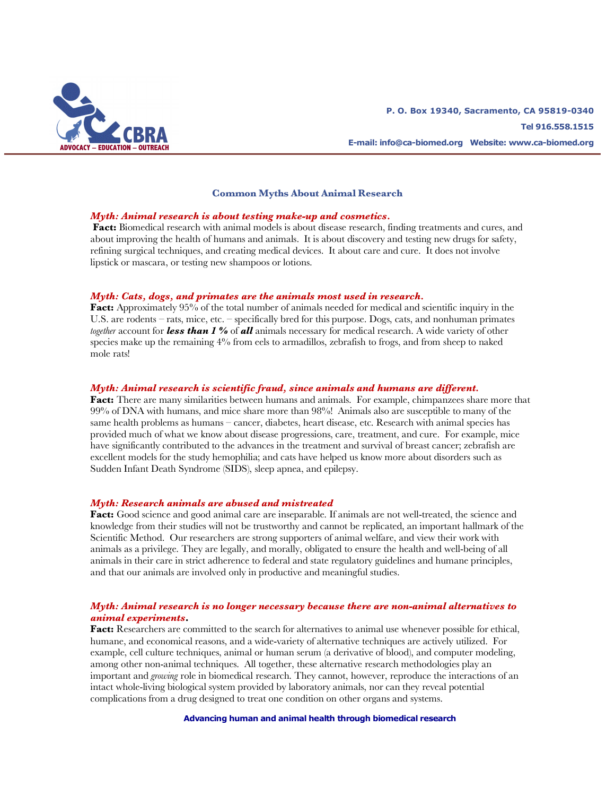

### **Common Myths About Animal Research**

#### *Myth: Animal research is about testing make-up and cosmetics.*

**Fact:** Biomedical research with animal models is about disease research, finding treatments and cures, and about improving the health of humans and animals. It is about discovery and testing new drugs for safety, refining surgical techniques, and creating medical devices. It about care and cure. It does not involve lipstick or mascara, or testing new shampoos or lotions.

### *Myth: Cats, dogs, and primates are the animals most used in research.*

**Fact:** Approximately 95% of the total number of animals needed for medical and scientific inquiry in the U.S. are rodents – rats, mice, etc. – specifically bred for this purpose. Dogs, cats, and nonhuman primates *together* account for *less than 1 %* of *all* animals necessary for medical research. A wide variety of other species make up the remaining 4% from eels to armadillos, zebrafish to frogs, and from sheep to naked mole rats!

# *Myth: Animal research is scientific fraud, since animals and humans are different.*

**Fact:** There are many similarities between humans and animals. For example, chimpanzees share more that 99% of DNA with humans, and mice share more than 98%! Animals also are susceptible to many of the same health problems as humans – cancer, diabetes, heart disease, etc. Research with animal species has provided much of what we know about disease progressions, care, treatment, and cure. For example, mice have significantly contributed to the advances in the treatment and survival of breast cancer; zebrafish are excellent models for the study hemophilia; and cats have helped us know more about disorders such as Sudden Infant Death Syndrome (SIDS), sleep apnea, and epilepsy.

#### *Myth: Research animals are abused and mistreated*

**Fact:** Good science and good animal care are inseparable. If animals are not well-treated, the science and knowledge from their studies will not be trustworthy and cannot be replicated, an important hallmark of the Scientific Method. Our researchers are strong supporters of animal welfare, and view their work with animals as a privilege. They are legally, and morally, obligated to ensure the health and well-being of all animals in their care in strict adherence to federal and state regulatory guidelines and humane principles, and that our animals are involved only in productive and meaningful studies.

## *Myth: Animal research is no longer necessary because there are non-animal alternatives to animal experiments***.**

**Fact:** Researchers are committed to the search for alternatives to animal use whenever possible for ethical, humane, and economical reasons, and a wide-variety of alternative techniques are actively utilized. For example, cell culture techniques, animal or human serum (a derivative of blood), and computer modeling, among other non-animal techniques. All together, these alternative research methodologies play an important and *growing* role in biomedical research. They cannot, however, reproduce the interactions of an intact whole-living biological system provided by laboratory animals, nor can they reveal potential complications from a drug designed to treat one condition on other organs and systems.

**Advancing human and animal health through biomedical research**